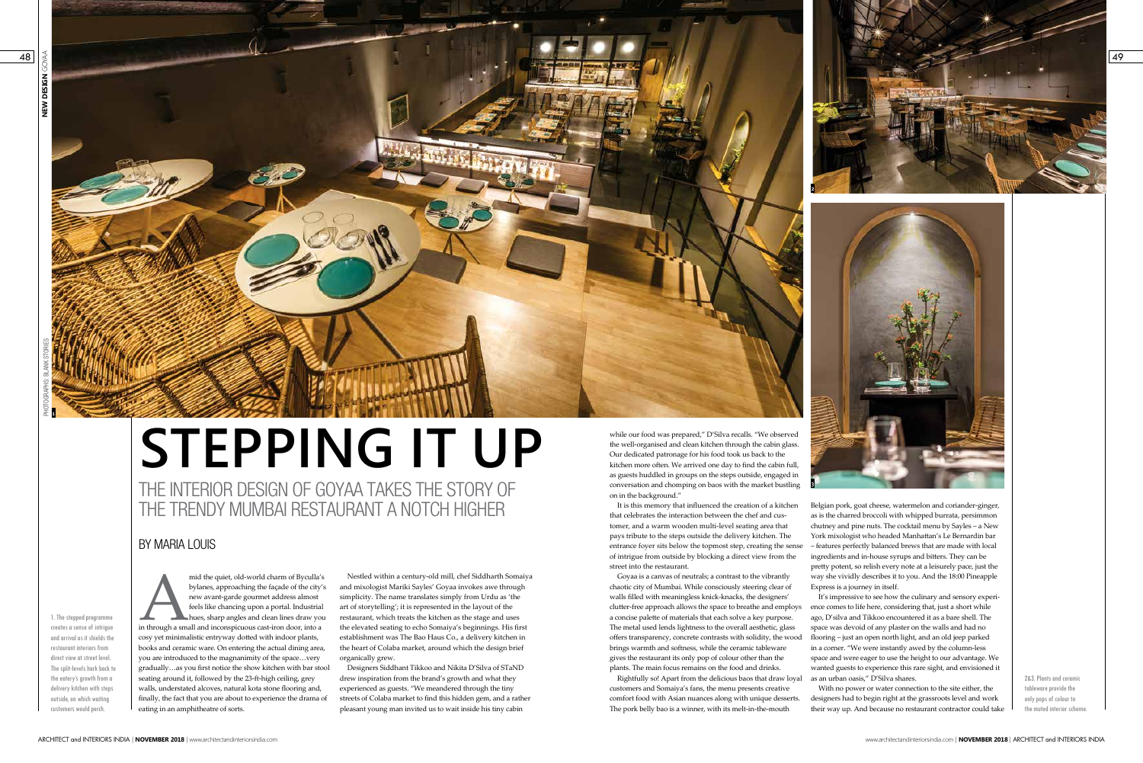

## **STEPPING IT UP**

THE INTERIOR DESIGN OF GOYAA TAKES THE STORY OF THE TRENDY MUMBAI RESTAURANT A NOTCH HIGHER

> 2&3. Plants and ceramic tableware provide the only pops of colour to the muted interior scheme.

while our food was prepared," D'Silva recalls. "We observed the well-organised and clean kitchen through the cabin glass. Our dedicated patronage for his food took us back to the kitchen more often. We arrived one day to find the cabin full, as guests huddled in groups on the steps outside, engaged in conversation and chomping on baos with the market bustling on in the background."

mid the quiet, old-world charm of Byculla's<br>
bylanes, approaching the façade of the city's<br>
new avant-garde gourmet address almost<br>
feels like chancing upon a portal. Industrial<br>
hues, sharp angles and clean lines draw you bylanes, approaching the façade of the city's new avant-garde gourmet address almost feels like chancing upon a portal. Industrial hues, sharp angles and clean lines draw you cosy yet minimalistic entryway dotted with indoor plants, books and ceramic ware. On entering the actual dining area, you are introduced to the magnanimity of the space…very gradually…as you first notice the show kitchen with bar stool seating around it, followed by the 23-ft-high ceiling, grey walls, understated alcoves, natural kota stone flooring and, finally, the fact that you are about to experience the drama of eating in an amphitheatre of sorts.



**1**

## BY MARIA LOUIS

It is this memory that influenced the creation of a kitchen that celebrates the interaction between the chef and customer, and a warm wooden multi-level seating area that pays tribute to the steps outside the delivery kitchen. The entrance foyer sits below the topmost step, creating the sense of intrigue from outside by blocking a direct view from the street into the restaurant. Goyaa is a canvas of neutrals; a contrast to the vibrantly Belgian pork, goat cheese, watermelon and coriander-ginger, as is the charred broccoli with whipped burrata, persimmon chutney and pine nuts. The cocktail menu by Sayles – a New York mixologist who headed Manhattan's Le Bernardin bar – features perfectly balanced brews that are made with local ingredients and in-house syrups and bitters. They can be pretty potent, so relish every note at a leisurely pace, just the way she vividly describes it to you. And the 18:00 Pineapple Express is a journey in itself.

chaotic city of Mumbai. While consciously steering clear of walls filled with meaningless knick-knacks, the designers' clutter-free approach allows the space to breathe and employs a concise palette of materials that each solve a key purpose. The metal used lends lightness to the overall aesthetic, glass offers transparency, concrete contrasts with solidity, the wood brings warmth and softness, while the ceramic tableware gives the restaurant its only pop of colour other than the plants. The main focus remains on the food and drinks. Rightfully so! Apart from the delicious baos that draw loyal It's impressive to see how the culinary and sensory experience comes to life here, considering that, just a short while ago, D'silva and Tikkoo encountered it as a bare shell. The space was devoid of any plaster on the walls and had no flooring – just an open north light, and an old jeep parked in a corner. "We were instantly awed by the column-less space and were eager to use the height to our advantage. We wanted guests to experience this rare sight, and envisioned it as an urban oasis," D'Silva shares.

Nestled within a century-old mill, chef Siddharth Somaiya and mixologist Mariki Sayles' Goyaa invokes awe through simplicity. The name translates simply from Urdu as 'the art of storytelling'; it is represented in the layout of the restaurant, which treats the kitchen as the stage and uses the elevated seating to echo Somaiya's beginnings. His first establishment was The Bao Haus Co., a delivery kitchen in the heart of Colaba market, around which the design brief organically grew.

> customers and Somaiya's fans, the menu presents creative comfort food with Asian nuances along with unique desserts. The pork belly bao is a winner, with its melt-in-the-mouth With no power or water connection to the site either, the designers had to begin right at the grassroots level and work their way up. And because no restaurant contractor could take

Designers Siddhant Tikkoo and Nikita D'Silva of STaND drew inspiration from the brand's growth and what they experienced as guests. "We meandered through the tiny streets of Colaba market to find this hidden gem, and a rather pleasant young man invited us to wait inside his tiny cabin



1. The stepped programme creates a sense of intrigue and arrival as it shields the restaurant interiors from direct view at street level. The split-levels hark back to the eatery's growth from a delivery kitchen with steps outside, on which waiting customers would perch.

PHOTOGRAPHS: BLANK STORIES